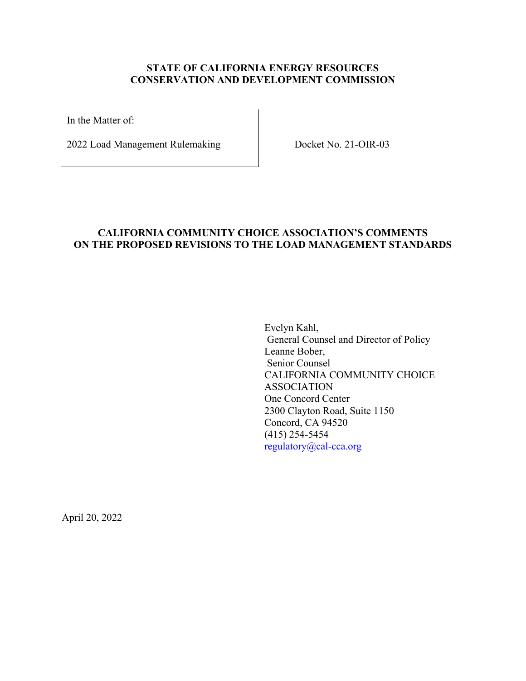#### **STATE OF CALIFORNIA ENERGY RESOURCES CONSERVATION AND DEVELOPMENT COMMISSION**

In the Matter of:

2022 Load Management Rulemaking Docket No. 21-OIR-03

# **CALIFORNIA COMMUNITY CHOICE ASSOCIATION'S COMMENTS ON THE PROPOSED REVISIONS TO THE LOAD MANAGEMENT STANDARDS**

Evelyn Kahl, General Counsel and Director of Policy Leanne Bober, Senior Counsel CALIFORNIA COMMUNITY CHOICE ASSOCIATION One Concord Center 2300 Clayton Road, Suite 1150 Concord, CA 94520 (415) 254-5454 [regulatory@cal-cca.org](mailto:regulatory@cal-cca.org)

April 20, 2022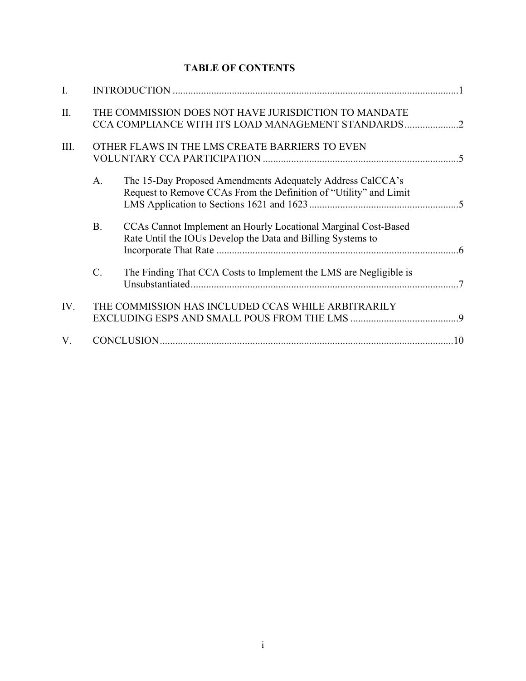# **TABLE OF CONTENTS**

| I.   |                                                                                                            |                                                                                                                                 |  |
|------|------------------------------------------------------------------------------------------------------------|---------------------------------------------------------------------------------------------------------------------------------|--|
| II.  | THE COMMISSION DOES NOT HAVE JURISDICTION TO MANDATE<br>CCA COMPLIANCE WITH ITS LOAD MANAGEMENT STANDARDS2 |                                                                                                                                 |  |
| III. | OTHER FLAWS IN THE LMS CREATE BARRIERS TO EVEN                                                             |                                                                                                                                 |  |
|      | A.                                                                                                         | The 15-Day Proposed Amendments Adequately Address CalCCA's<br>Request to Remove CCAs From the Definition of "Utility" and Limit |  |
|      | <b>B.</b>                                                                                                  | CCAs Cannot Implement an Hourly Locational Marginal Cost-Based<br>Rate Until the IOUs Develop the Data and Billing Systems to   |  |
|      | $C$ .                                                                                                      | The Finding That CCA Costs to Implement the LMS are Negligible is                                                               |  |
| IV.  | THE COMMISSION HAS INCLUDED CCAS WHILE ARBITRARILY                                                         |                                                                                                                                 |  |
| V.   |                                                                                                            |                                                                                                                                 |  |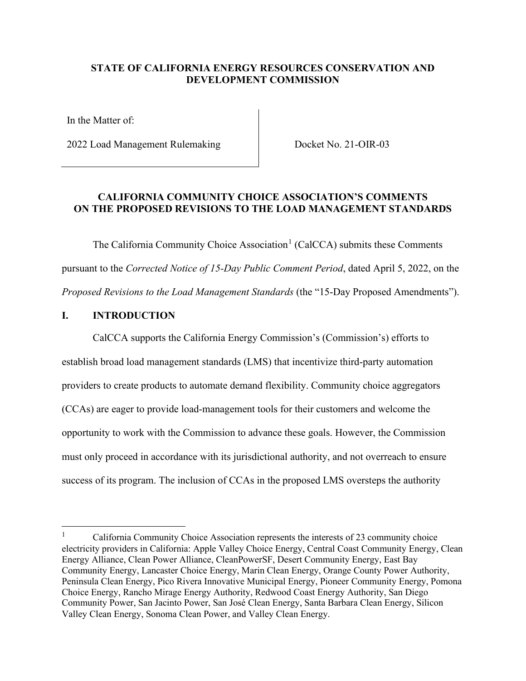#### **STATE OF CALIFORNIA ENERGY RESOURCES CONSERVATION AND DEVELOPMENT COMMISSION**

In the Matter of:

2022 Load Management Rulemaking Docket No. 21-OIR-03

#### **CALIFORNIA COMMUNITY CHOICE ASSOCIATION'S COMMENTS ON THE PROPOSED REVISIONS TO THE LOAD MANAGEMENT STANDARDS**

The California Community Choice Association<sup>[1](#page-2-0)</sup> (CalCCA) submits these Comments pursuant to the *Corrected Notice of 15-Day Public Comment Period*, dated April 5, 2022, on the *Proposed Revisions to the Load Management Standards* (the "15-Day Proposed Amendments").

#### **I. INTRODUCTION**

CalCCA supports the California Energy Commission's (Commission's) efforts to establish broad load management standards (LMS) that incentivize third-party automation providers to create products to automate demand flexibility. Community choice aggregators (CCAs) are eager to provide load-management tools for their customers and welcome the opportunity to work with the Commission to advance these goals. However, the Commission must only proceed in accordance with its jurisdictional authority, and not overreach to ensure success of its program. The inclusion of CCAs in the proposed LMS oversteps the authority

<span id="page-2-0"></span><sup>1</sup> California Community Choice Association represents the interests of 23 community choice electricity providers in California: Apple Valley Choice Energy, Central Coast Community Energy, Clean Energy Alliance, Clean Power Alliance, CleanPowerSF, Desert Community Energy, East Bay Community Energy, Lancaster Choice Energy, Marin Clean Energy, Orange County Power Authority, Peninsula Clean Energy, Pico Rivera Innovative Municipal Energy, Pioneer Community Energy, Pomona Choice Energy, Rancho Mirage Energy Authority, Redwood Coast Energy Authority, San Diego Community Power, San Jacinto Power, San José Clean Energy, Santa Barbara Clean Energy, Silicon Valley Clean Energy, Sonoma Clean Power, and Valley Clean Energy.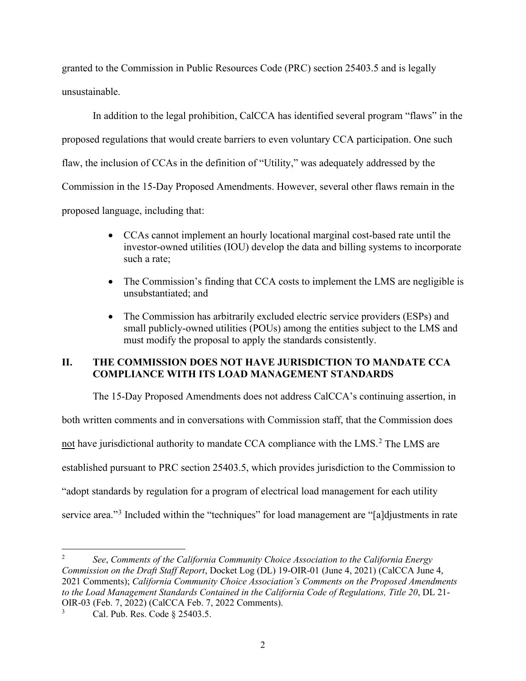granted to the Commission in Public Resources Code (PRC) section 25403.5 and is legally unsustainable.

In addition to the legal prohibition, CalCCA has identified several program "flaws" in the proposed regulations that would create barriers to even voluntary CCA participation. One such flaw, the inclusion of CCAs in the definition of "Utility," was adequately addressed by the Commission in the 15-Day Proposed Amendments. However, several other flaws remain in the proposed language, including that:

- CCAs cannot implement an hourly locational marginal cost-based rate until the investor-owned utilities (IOU) develop the data and billing systems to incorporate such a rate;
- The Commission's finding that CCA costs to implement the LMS are negligible is unsubstantiated; and
- The Commission has arbitrarily excluded electric service providers (ESPs) and small publicly-owned utilities (POUs) among the entities subject to the LMS and must modify the proposal to apply the standards consistently.

# **II. THE COMMISSION DOES NOT HAVE JURISDICTION TO MANDATE CCA COMPLIANCE WITH ITS LOAD MANAGEMENT STANDARDS**

The 15-Day Proposed Amendments does not address CalCCA's continuing assertion, in

both written comments and in conversations with Commission staff, that the Commission does

not have jurisdictional authority to mandate CCA compliance with the LMS.<sup>[2](#page-3-0)</sup> The LMS are

established pursuant to PRC section 25403.5, which provides jurisdiction to the Commission to

"adopt standards by regulation for a program of electrical load management for each utility

service area."<sup>[3](#page-3-1)</sup> Included within the "techniques" for load management are "[a]djustments in rate

<span id="page-3-0"></span><sup>2</sup> *See*, *Comments of the California Community Choice Association to the California Energy Commission on the Draft Staff Report*, Docket Log (DL) 19-OIR-01 (June 4, 2021) (CalCCA June 4, 2021 Comments); *California Community Choice Association's Comments on the Proposed Amendments to the Load Management Standards Contained in the California Code of Regulations, Title 20*, DL 21- OIR-03 (Feb. 7, 2022) (CalCCA Feb. 7, 2022 Comments).

<span id="page-3-1"></span><sup>3</sup> Cal. Pub. Res. Code § 25403.5.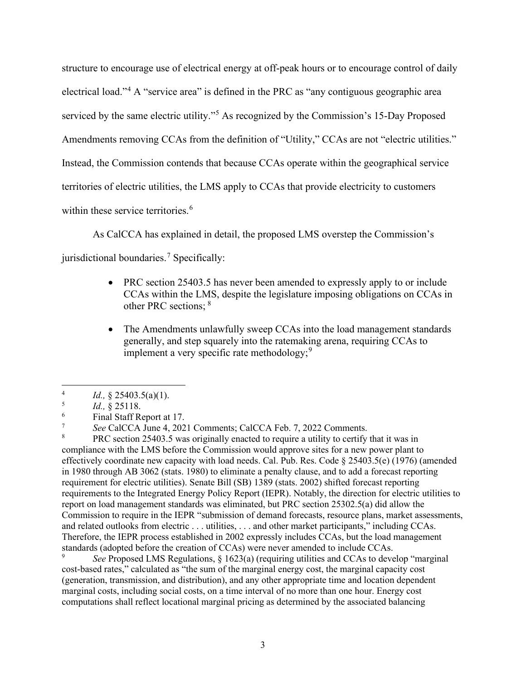structure to encourage use of electrical energy at off-peak hours or to encourage control of daily electrical load."[4](#page-4-0) A "service area" is defined in the PRC as "any contiguous geographic area serviced by the same electric utility."<sup>[5](#page-4-1)</sup> As recognized by the Commission's 15-Day Proposed Amendments removing CCAs from the definition of "Utility," CCAs are not "electric utilities." Instead, the Commission contends that because CCAs operate within the geographical service territories of electric utilities, the LMS apply to CCAs that provide electricity to customers within these service territories.<sup>[6](#page-4-2)</sup>

As CalCCA has explained in detail, the proposed LMS overstep the Commission's

jurisdictional boundaries.<sup>[7](#page-4-3)</sup> Specifically:

- PRC section 25403.5 has never been amended to expressly apply to or include CCAs within the LMS, despite the legislature imposing obligations on CCAs in other PRC sections; [8](#page-4-4)
- The Amendments unlawfully sweep CCAs into the load management standards generally, and step squarely into the ratemaking arena, requiring CCAs to implement a very specific rate methodology;  $9^9$  $9^9$

<span id="page-4-4"></span> PRC section 25403.5 was originally enacted to require a utility to certify that it was in compliance with the LMS before the Commission would approve sites for a new power plant to effectively coordinate new capacity with load needs. Cal. Pub. Res. Code § 25403.5(e) (1976) (amended in 1980 through AB 3062 (stats. 1980) to eliminate a penalty clause, and to add a forecast reporting requirement for electric utilities). Senate Bill (SB) 1389 (stats. 2002) shifted forecast reporting requirements to the Integrated Energy Policy Report (IEPR). Notably, the direction for electric utilities to report on load management standards was eliminated, but PRC section 25302.5(a) did allow the Commission to require in the IEPR "submission of demand forecasts, resource plans, market assessments, and related outlooks from electric . . . utilities, . . . and other market participants," including CCAs. Therefore, the IEPR process established in 2002 expressly includes CCAs, but the load management standards (adopted before the creation of CCAs) were never amended to include CCAs.

<span id="page-4-5"></span>9 *See* Proposed LMS Regulations, § 1623(a) (requiring utilities and CCAs to develop "marginal cost-based rates," calculated as "the sum of the marginal energy cost, the marginal capacity cost (generation, transmission, and distribution), and any other appropriate time and location dependent marginal costs, including social costs, on a time interval of no more than one hour. Energy cost computations shall reflect locational marginal pricing as determined by the associated balancing

<span id="page-4-0"></span><sup>4</sup> *Id.,* § 25403.5(a)(1).

<span id="page-4-1"></span><sup>5</sup> *Id.,* § 25118.

<span id="page-4-2"></span><sup>6</sup> Final Staff Report at 17.

<span id="page-4-3"></span><sup>7</sup> *See CalCCA June 4, 2021 Comments; CalCCA Feb. 7, 2022 Comments.* 8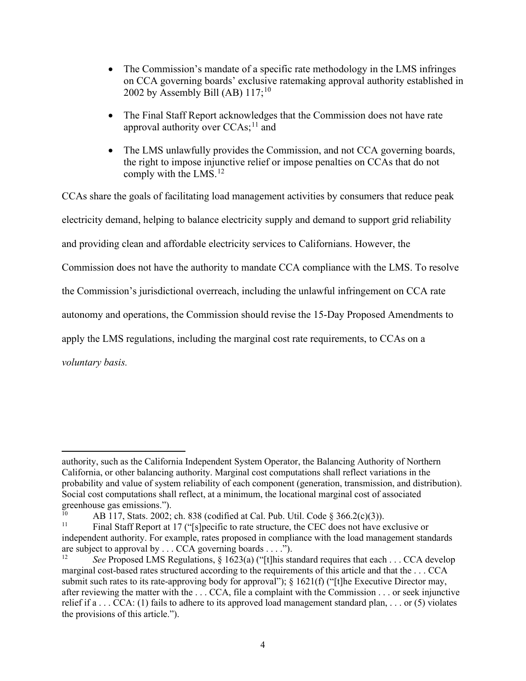- The Commission's mandate of a specific rate methodology in the LMS infringes on CCA governing boards' exclusive ratemaking approval authority established in 2002 by Assembly Bill (AB)  $117$ ;<sup>10</sup>
- The Final Staff Report acknowledges that the Commission does not have rate approval authority over  $CCAs<sup>11</sup>$  $CCAs<sup>11</sup>$  $CCAs<sup>11</sup>$  and
- The LMS unlawfully provides the Commission, and not CCA governing boards, the right to impose injunctive relief or impose penalties on CCAs that do not comply with the LMS. [12](#page-5-2)

CCAs share the goals of facilitating load management activities by consumers that reduce peak electricity demand, helping to balance electricity supply and demand to support grid reliability and providing clean and affordable electricity services to Californians. However, the Commission does not have the authority to mandate CCA compliance with the LMS. To resolve the Commission's jurisdictional overreach, including the unlawful infringement on CCA rate autonomy and operations, the Commission should revise the 15-Day Proposed Amendments to apply the LMS regulations, including the marginal cost rate requirements, to CCAs on a *voluntary basis.* 

authority, such as the California Independent System Operator, the Balancing Authority of Northern California, or other balancing authority. Marginal cost computations shall reflect variations in the probability and value of system reliability of each component (generation, transmission, and distribution). Social cost computations shall reflect, at a minimum, the locational marginal cost of associated greenhouse gas emissions.").<br> $^{10}_{10}$  A D 117 State 2002.

<span id="page-5-0"></span><sup>&</sup>lt;sup>10</sup> AB 117, Stats. 2002; ch. 838 (codified at Cal. Pub. Util. Code § 366.2(c)(3)).<br><sup>11</sup> Einal Staff Beport at 17 ("Jelpecific to rate structure, the CEC does not have a

<span id="page-5-1"></span><sup>11</sup> Final Staff Report at 17 ("[s]pecific to rate structure, the CEC does not have exclusive or independent authority. For example, rates proposed in compliance with the load management standards are subject to approval by . . . CCA governing boards . . . .").

<span id="page-5-2"></span>See Proposed LMS Regulations, § 1623(a) ("[t]his standard requires that each . . . CCA develop marginal cost-based rates structured according to the requirements of this article and that the . . . CCA submit such rates to its rate-approving body for approval"); § 1621(f) ("[t]he Executive Director may, after reviewing the matter with the . . . CCA, file a complaint with the Commission . . . or seek injunctive relief if  $a \dots CCA$ : (1) fails to adhere to its approved load management standard plan,  $\dots$  or (5) violates the provisions of this article.").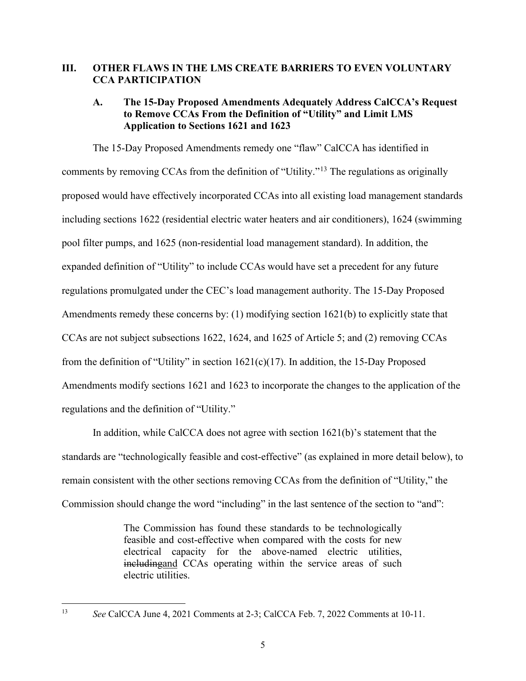#### **III. OTHER FLAWS IN THE LMS CREATE BARRIERS TO EVEN VOLUNTARY CCA PARTICIPATION**

## **A. The 15-Day Proposed Amendments Adequately Address CalCCA's Request to Remove CCAs From the Definition of "Utility" and Limit LMS Application to Sections 1621 and 1623**

The 15-Day Proposed Amendments remedy one "flaw" CalCCA has identified in comments by removing CCAs from the definition of "Utility."[13](#page-6-0) The regulations as originally proposed would have effectively incorporated CCAs into all existing load management standards including sections 1622 (residential electric water heaters and air conditioners), 1624 (swimming pool filter pumps, and 1625 (non-residential load management standard). In addition, the expanded definition of "Utility" to include CCAs would have set a precedent for any future regulations promulgated under the CEC's load management authority. The 15-Day Proposed Amendments remedy these concerns by: (1) modifying section 1621(b) to explicitly state that CCAs are not subject subsections 1622, 1624, and 1625 of Article 5; and (2) removing CCAs from the definition of "Utility" in section 1621(c)(17). In addition, the 15-Day Proposed Amendments modify sections 1621 and 1623 to incorporate the changes to the application of the regulations and the definition of "Utility."

In addition, while CalCCA does not agree with section 1621(b)'s statement that the standards are "technologically feasible and cost-effective" (as explained in more detail below), to remain consistent with the other sections removing CCAs from the definition of "Utility," the Commission should change the word "including" in the last sentence of the section to "and":

> The Commission has found these standards to be technologically feasible and cost-effective when compared with the costs for new electrical capacity for the above-named electric utilities, includingand CCAs operating within the service areas of such electric utilities.

<span id="page-6-0"></span><sup>13</sup> *See* CalCCA June 4, 2021 Comments at 2-3; CalCCA Feb. 7, 2022 Comments at 10-11.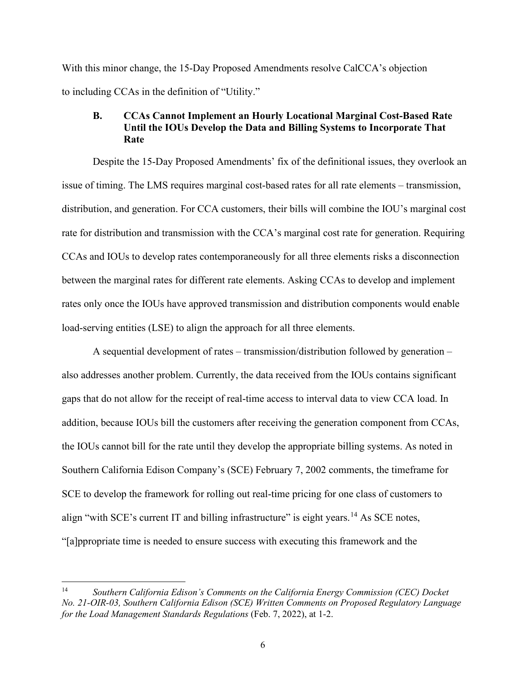With this minor change, the 15-Day Proposed Amendments resolve CalCCA's objection to including CCAs in the definition of "Utility."

#### **B. CCAs Cannot Implement an Hourly Locational Marginal Cost-Based Rate Until the IOUs Develop the Data and Billing Systems to Incorporate That Rate**

Despite the 15-Day Proposed Amendments' fix of the definitional issues, they overlook an issue of timing. The LMS requires marginal cost-based rates for all rate elements – transmission, distribution, and generation. For CCA customers, their bills will combine the IOU's marginal cost rate for distribution and transmission with the CCA's marginal cost rate for generation. Requiring CCAs and IOUs to develop rates contemporaneously for all three elements risks a disconnection between the marginal rates for different rate elements. Asking CCAs to develop and implement rates only once the IOUs have approved transmission and distribution components would enable load-serving entities (LSE) to align the approach for all three elements.

A sequential development of rates – transmission/distribution followed by generation – also addresses another problem. Currently, the data received from the IOUs contains significant gaps that do not allow for the receipt of real-time access to interval data to view CCA load. In addition, because IOUs bill the customers after receiving the generation component from CCAs, the IOUs cannot bill for the rate until they develop the appropriate billing systems. As noted in Southern California Edison Company's (SCE) February 7, 2002 comments, the timeframe for SCE to develop the framework for rolling out real-time pricing for one class of customers to align "with SCE's current IT and billing infrastructure" is eight years.<sup>[14](#page-7-0)</sup> As SCE notes, "[a]ppropriate time is needed to ensure success with executing this framework and the

<span id="page-7-0"></span><sup>14</sup> *Southern California Edison's Comments on the California Energy Commission (CEC) Docket No. 21-OIR-03, Southern California Edison (SCE) Written Comments on Proposed Regulatory Language for the Load Management Standards Regulations* (Feb. 7, 2022), at 1-2.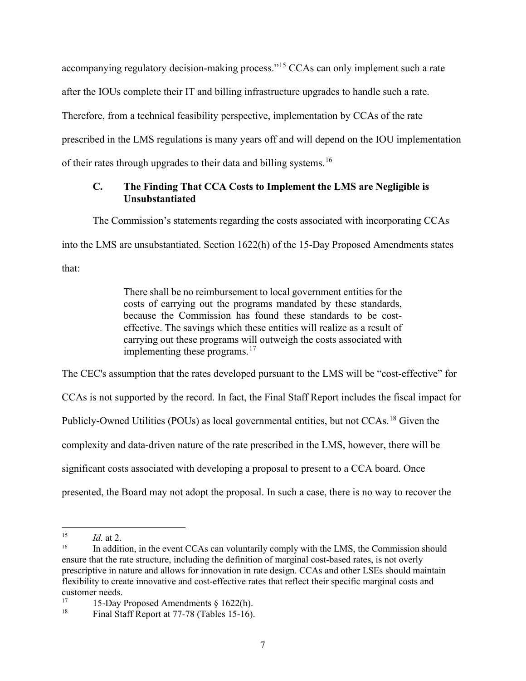accompanying regulatory decision-making process."<sup>[15](#page-8-0)</sup> CCAs can only implement such a rate after the IOUs complete their IT and billing infrastructure upgrades to handle such a rate. Therefore, from a technical feasibility perspective, implementation by CCAs of the rate prescribed in the LMS regulations is many years off and will depend on the IOU implementation of their rates through upgrades to their data and billing systems.[16](#page-8-1)

# **C. The Finding That CCA Costs to Implement the LMS are Negligible is Unsubstantiated**

The Commission's statements regarding the costs associated with incorporating CCAs

into the LMS are unsubstantiated. Section 1622(h) of the 15-Day Proposed Amendments states

that:

There shall be no reimbursement to local government entities for the costs of carrying out the programs mandated by these standards, because the Commission has found these standards to be costeffective. The savings which these entities will realize as a result of carrying out these programs will outweigh the costs associated with implementing these programs. $17$ 

The CEC's assumption that the rates developed pursuant to the LMS will be "cost-effective" for CCAs is not supported by the record. In fact, the Final Staff Report includes the fiscal impact for Publicly-Owned Utilities (POUs) as local governmental entities, but not CCAs.<sup>18</sup> Given the complexity and data-driven nature of the rate prescribed in the LMS, however, there will be significant costs associated with developing a proposal to present to a CCA board. Once

presented, the Board may not adopt the proposal. In such a case, there is no way to recover the

<span id="page-8-0"></span> $15$  *Id.* at 2.

<span id="page-8-1"></span><sup>16</sup> In addition, in the event CCAs can voluntarily comply with the LMS, the Commission should ensure that the rate structure, including the definition of marginal cost-based rates, is not overly prescriptive in nature and allows for innovation in rate design. CCAs and other LSEs should maintain flexibility to create innovative and cost-effective rates that reflect their specific marginal costs and customer needs.<br> $\frac{17}{2}$  15 Dev.

<span id="page-8-2"></span><sup>&</sup>lt;sup>17</sup> 15-Day Proposed Amendments  $\S 1622(h)$ .<br><sup>18</sup> Einal Staff Report at 77.78 (Tables 15, 16)

<span id="page-8-3"></span>Final Staff Report at 77-78 (Tables 15-16).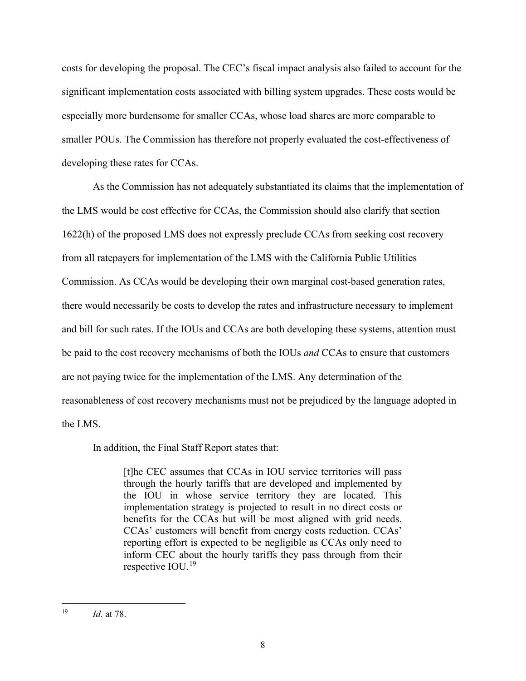costs for developing the proposal. The CEC's fiscal impact analysis also failed to account for the significant implementation costs associated with billing system upgrades. These costs would be especially more burdensome for smaller CCAs, whose load shares are more comparable to smaller POUs. The Commission has therefore not properly evaluated the cost-effectiveness of developing these rates for CCAs.

As the Commission has not adequately substantiated its claims that the implementation of the LMS would be cost effective for CCAs, the Commission should also clarify that section 1622(h) of the proposed LMS does not expressly preclude CCAs from seeking cost recovery from all ratepayers for implementation of the LMS with the California Public Utilities Commission. As CCAs would be developing their own marginal cost-based generation rates, there would necessarily be costs to develop the rates and infrastructure necessary to implement and bill for such rates. If the IOUs and CCAs are both developing these systems, attention must be paid to the cost recovery mechanisms of both the IOUs *and* CCAs to ensure that customers are not paying twice for the implementation of the LMS. Any determination of the reasonableness of cost recovery mechanisms must not be prejudiced by the language adopted in the LMS.

In addition, the Final Staff Report states that:

[t]he CEC assumes that CCAs in IOU service territories will pass through the hourly tariffs that are developed and implemented by the IOU in whose service territory they are located. This implementation strategy is projected to result in no direct costs or benefits for the CCAs but will be most aligned with grid needs. CCAs' customers will benefit from energy costs reduction. CCAs' reporting effort is expected to be negligible as CCAs only need to inform CEC about the hourly tariffs they pass through from their respective IOU.[19](#page-9-0)

<span id="page-9-0"></span><sup>19</sup> *Id.* at 78.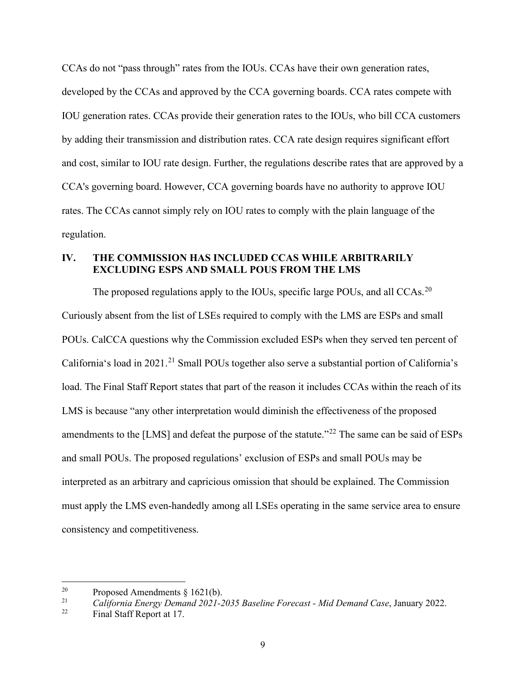CCAs do not "pass through" rates from the IOUs. CCAs have their own generation rates, developed by the CCAs and approved by the CCA governing boards. CCA rates compete with IOU generation rates. CCAs provide their generation rates to the IOUs, who bill CCA customers by adding their transmission and distribution rates. CCA rate design requires significant effort and cost, similar to IOU rate design. Further, the regulations describe rates that are approved by a CCA's governing board. However, CCA governing boards have no authority to approve IOU rates. The CCAs cannot simply rely on IOU rates to comply with the plain language of the regulation.

# **IV. THE COMMISSION HAS INCLUDED CCAS WHILE ARBITRARILY EXCLUDING ESPS AND SMALL POUS FROM THE LMS**

The proposed regulations apply to the IOUs, specific large POUs, and all CCAs.<sup>[20](#page-10-0)</sup> Curiously absent from the list of LSEs required to comply with the LMS are ESPs and small POUs. CalCCA questions why the Commission excluded ESPs when they served ten percent of California's load in 20[21](#page-10-1).<sup>21</sup> Small POUs together also serve a substantial portion of California's load. The Final Staff Report states that part of the reason it includes CCAs within the reach of its LMS is because "any other interpretation would diminish the effectiveness of the proposed amendments to the [LMS] and defeat the purpose of the statute."<sup>[22](#page-10-2)</sup> The same can be said of ESPs and small POUs. The proposed regulations' exclusion of ESPs and small POUs may be interpreted as an arbitrary and capricious omission that should be explained. The Commission must apply the LMS even-handedly among all LSEs operating in the same service area to ensure consistency and competitiveness.

<span id="page-10-0"></span><sup>&</sup>lt;sup>20</sup> Proposed Amendments § 1621(b).<br><sup>21</sup> California Energy Demand 2021-2

<span id="page-10-2"></span><span id="page-10-1"></span><sup>21</sup> *California Energy Demand 2021-2035 Baseline Forecast - Mid Demand Case*, January 2022.

Final Staff Report at 17.